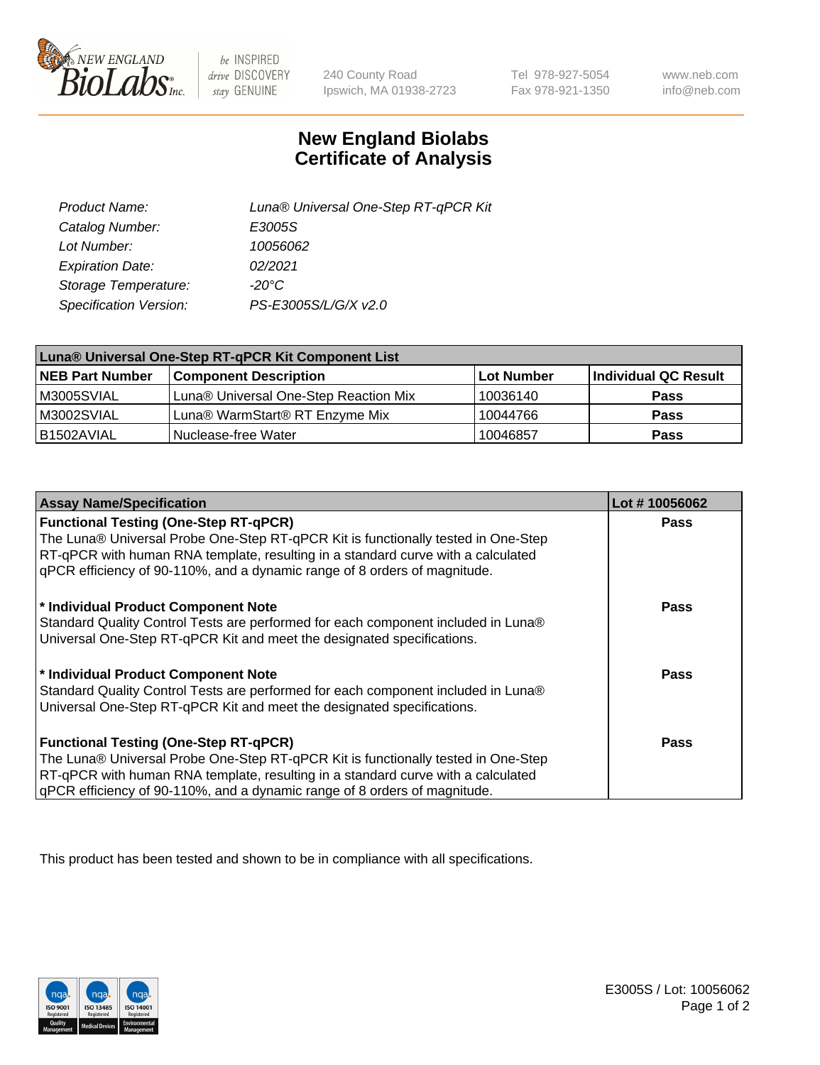

 $be$  INSPIRED drive DISCOVERY stay GENUINE

240 County Road Ipswich, MA 01938-2723

Tel 978-927-5054 Fax 978-921-1350

www.neb.com info@neb.com

## **New England Biolabs Certificate of Analysis**

| Product Name:           | Luna® Universal One-Step RT-qPCR Kit |
|-------------------------|--------------------------------------|
| Catalog Number:         | E3005S                               |
| Lot Number:             | 10056062                             |
| <b>Expiration Date:</b> | 02/2021                              |
| Storage Temperature:    | $-20^{\circ}$ C                      |
| Specification Version:  | PS-E3005S/L/G/X v2.0                 |

| Luna® Universal One-Step RT-qPCR Kit Component List |                                       |                   |                      |  |
|-----------------------------------------------------|---------------------------------------|-------------------|----------------------|--|
| <b>NEB Part Number</b>                              | <b>Component Description</b>          | <b>Lot Number</b> | Individual QC Result |  |
| IM3005SVIAL                                         | Luna® Universal One-Step Reaction Mix | 10036140          | Pass                 |  |
| M3002SVIAL                                          | Luna® WarmStart® RT Enzyme Mix        | 10044766          | <b>Pass</b>          |  |
| I B1502AVIAL                                        | l Nuclease-free Water                 | 10046857          | <b>Pass</b>          |  |

| <b>Assay Name/Specification</b>                                                                                                                                       | Lot #10056062 |
|-----------------------------------------------------------------------------------------------------------------------------------------------------------------------|---------------|
| <b>Functional Testing (One-Step RT-qPCR)</b>                                                                                                                          | <b>Pass</b>   |
| The Luna® Universal Probe One-Step RT-qPCR Kit is functionally tested in One-Step<br>RT-qPCR with human RNA template, resulting in a standard curve with a calculated |               |
| gPCR efficiency of 90-110%, and a dynamic range of 8 orders of magnitude.                                                                                             |               |
| * Individual Product Component Note                                                                                                                                   | Pass          |
| Standard Quality Control Tests are performed for each component included in Luna®                                                                                     |               |
| Universal One-Step RT-qPCR Kit and meet the designated specifications.                                                                                                |               |
| * Individual Product Component Note                                                                                                                                   | Pass          |
| Standard Quality Control Tests are performed for each component included in Luna®                                                                                     |               |
| Universal One-Step RT-qPCR Kit and meet the designated specifications.                                                                                                |               |
| <b>Functional Testing (One-Step RT-qPCR)</b>                                                                                                                          | <b>Pass</b>   |
| The Luna® Universal Probe One-Step RT-qPCR Kit is functionally tested in One-Step                                                                                     |               |
| RT-qPCR with human RNA template, resulting in a standard curve with a calculated                                                                                      |               |
| gPCR efficiency of 90-110%, and a dynamic range of 8 orders of magnitude.                                                                                             |               |

This product has been tested and shown to be in compliance with all specifications.